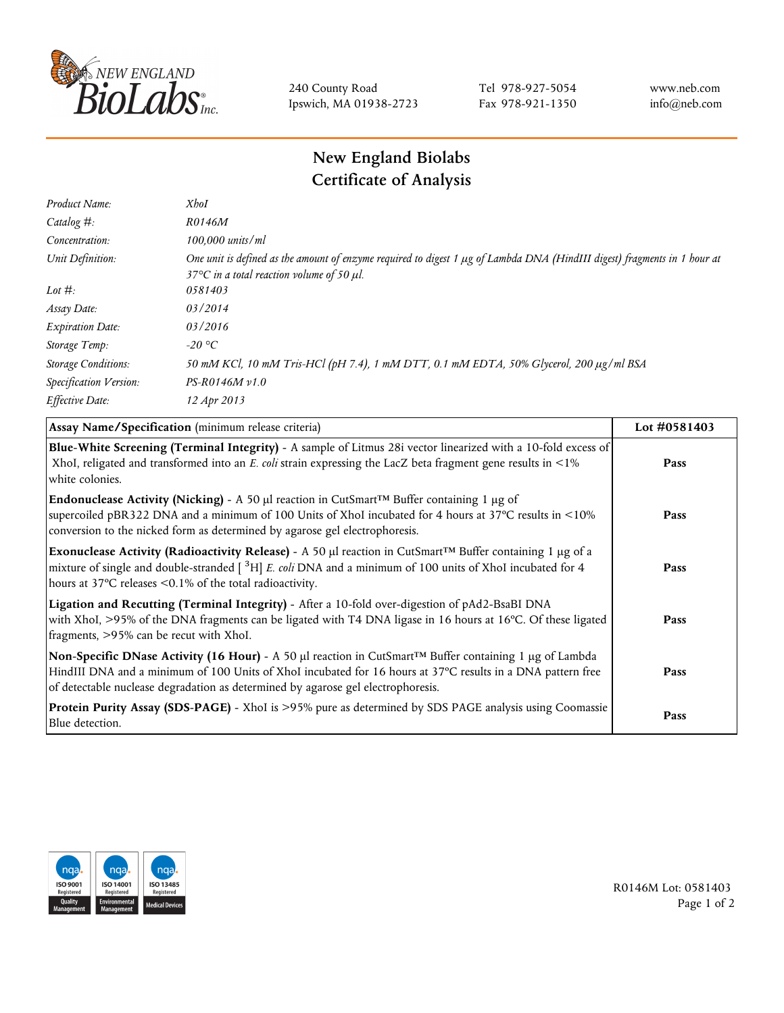

240 County Road Ipswich, MA 01938-2723 Tel 978-927-5054 Fax 978-921-1350 www.neb.com info@neb.com

## **New England Biolabs Certificate of Analysis**

| Product Name:              | <b>XhoI</b>                                                                                                                                                                           |
|----------------------------|---------------------------------------------------------------------------------------------------------------------------------------------------------------------------------------|
| Catalog $#$ :              | R0146M                                                                                                                                                                                |
| Concentration:             | 100,000 units/ml                                                                                                                                                                      |
| Unit Definition:           | One unit is defined as the amount of enzyme required to digest 1 µg of Lambda DNA (HindIII digest) fragments in 1 hour at<br>37 $\degree$ C in a total reaction volume of 50 $\mu$ l. |
| Lot $#$ :                  | 0581403                                                                                                                                                                               |
| Assay Date:                | 03/2014                                                                                                                                                                               |
| <b>Expiration Date:</b>    | 03/2016                                                                                                                                                                               |
| Storage Temp:              | -20 °C                                                                                                                                                                                |
| <b>Storage Conditions:</b> | 50 mM KCl, 10 mM Tris-HCl (pH 7.4), 1 mM DTT, 0.1 mM EDTA, 50% Glycerol, 200 µg/ml BSA                                                                                                |
| Specification Version:     | $PS-R0146M v1.0$                                                                                                                                                                      |
| Effective Date:            | 12 Apr 2013                                                                                                                                                                           |
|                            |                                                                                                                                                                                       |

| Assay Name/Specification (minimum release criteria)                                                                                                                                                                                                                                                                        | Lot #0581403 |
|----------------------------------------------------------------------------------------------------------------------------------------------------------------------------------------------------------------------------------------------------------------------------------------------------------------------------|--------------|
| Blue-White Screening (Terminal Integrity) - A sample of Litmus 28i vector linearized with a 10-fold excess of<br>XhoI, religated and transformed into an E. coli strain expressing the LacZ beta fragment gene results in <1%<br>white colonies.                                                                           | Pass         |
| <b>Endonuclease Activity (Nicking)</b> - A 50 µl reaction in CutSmart <sup>TM</sup> Buffer containing 1 µg of<br>supercoiled pBR322 DNA and a minimum of 100 Units of XhoI incubated for 4 hours at 37°C results in <10%<br>conversion to the nicked form as determined by agarose gel electrophoresis.                    | Pass         |
| Exonuclease Activity (Radioactivity Release) - A 50 $\mu$ l reaction in CutSmart <sup>TM</sup> Buffer containing 1 $\mu$ g of a<br>mixture of single and double-stranded $[$ <sup>3</sup> H $]$ E. coli DNA and a minimum of 100 units of XhoI incubated for 4<br>hours at 37°C releases <0.1% of the total radioactivity. | Pass         |
| Ligation and Recutting (Terminal Integrity) - After a 10-fold over-digestion of pAd2-BsaBI DNA<br>with XhoI, >95% of the DNA fragments can be ligated with T4 DNA ligase in 16 hours at 16°C. Of these ligated<br>fragments, >95% can be recut with XhoI.                                                                  | Pass         |
| Non-Specific DNase Activity (16 Hour) - A 50 µl reaction in CutSmart™ Buffer containing 1 µg of Lambda<br>HindIII DNA and a minimum of 100 Units of XhoI incubated for 16 hours at 37°C results in a DNA pattern free<br>of detectable nuclease degradation as determined by agarose gel electrophoresis.                  | Pass         |
| Protein Purity Assay (SDS-PAGE) - XhoI is >95% pure as determined by SDS PAGE analysis using Coomassie<br>Blue detection.                                                                                                                                                                                                  | Pass         |



R0146M Lot: 0581403 Page 1 of 2